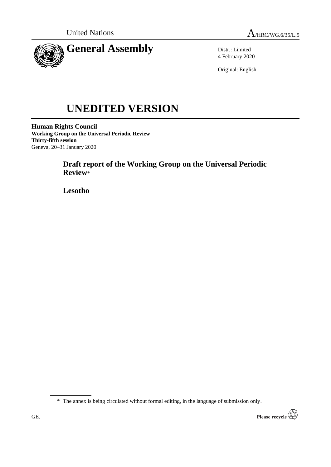



Distr.: Limited 4 February 2020

Original: English

# **UNEDITED VERSION**

**Human Rights Council Working Group on the Universal Periodic Review Thirty-fifth session** Geneva, 20–31 January 2020

# **Draft report of the Working Group on the Universal Periodic Review**\*

**Lesotho**

\* The annex is being circulated without formal editing, in the language of submission only.

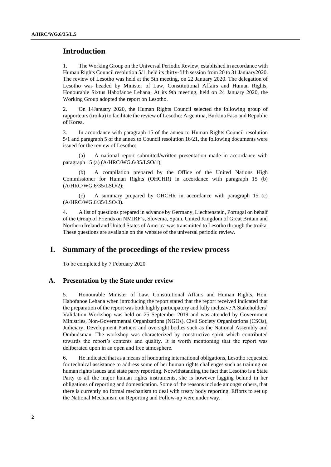## **Introduction**

1. The Working Group on the Universal Periodic Review, established in accordance with Human Rights Council resolution 5/1, held its thirty-fifth session from 20 to 31 January2020. The review of Lesotho was held at the 5th meeting, on 22 January 2020. The delegation of Lesotho was headed by Minister of Law, Constitutional Affairs and Human Rights, Honourable Sixtus Habofanoe Lehana. At its 9th meeting, held on 24 January 2020, the Working Group adopted the report on Lesotho.

2. On 14January 2020, the Human Rights Council selected the following group of rapporteurs (troika) to facilitate the review of Lesotho: Argentina, Burkina Faso and Republic of Korea.

3. In accordance with paragraph 15 of the annex to Human Rights Council resolution 5/1 and paragraph 5 of the annex to Council resolution 16/21, the following documents were issued for the review of Lesotho:

(a) A national report submitted/written presentation made in accordance with paragraph 15 (a) (A/HRC/WG.6/35/LSO/1);

A compilation prepared by the Office of the United Nations High Commissioner for Human Rights (OHCHR) in accordance with paragraph 15 (b) (A/HRC/WG.6/35/LSO/2);

(c) A summary prepared by OHCHR in accordance with paragraph 15 (c) (A/HRC/WG.6/35/LSO/3).

4. A list of questions prepared in advance by Germany, Liechtenstein, Portugal on behalf of the Group of Friends on NMIRF's, Slovenia, Spain, United Kingdom of Great Britain and Northern Ireland and United States of America was transmitted to Lesotho through the troika. These questions are available on the website of the universal periodic review.

## **I. Summary of the proceedings of the review process**

To be completed by 7 February 2020

#### **A. Presentation by the State under review**

5. Honourable Minister of Law, Constitutional Affairs and Human Rights, Hon. Habofanoe Lehana when introducing the report stated that the report received indicated that the preparation of the report was both highly participatory and fully inclusive A Stakeholders` Validation Workshop was held on 25 September 2019 and was attended by Government Ministries, Non-Governmental Organizations (NGOs), Civil Society Organizations (CSOs), Judiciary, Development Partners and oversight bodies such as the National Assembly and Ombudsman. The workshop was characterized by constructive spirit which contributed towards the report's contents and quality. It is worth mentioning that the report was deliberated upon in an open and free atmosphere.

6. He indicated that as a means of honouring international obligations, Lesotho requested for technical assistance to address some of her human rights challenges such as training on human rights issues and state party reporting. Notwithstanding the fact that Lesotho is a State Party to all the major human rights instruments, she is however lagging behind in her obligations of reporting and domestication. Some of the reasons include amongst others, that there is currently no formal mechanism to deal with treaty body reporting. Efforts to set up the National Mechanism on Reporting and Follow-up were under way.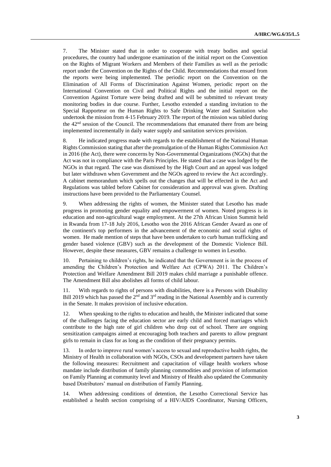7. The Minister stated that in order to cooperate with treaty bodies and special procedures, the country had undergone examination of the initial report on the Convention on the Rights of Migrant Workers and Members of their Families as well as the periodic report under the Convention on the Rights of the Child. Recommendations that ensued from the reports were being implemented. The periodic report on the Convention on the Elimination of All Forms of Discrimination Against Women, periodic report on the International Convention on Civil and Political Rights and the initial report on the Convention Against Torture were being drafted and will be submitted to relevant treaty monitoring bodies in due course. Further, Lesotho extended a standing invitation to the Special Rapporteur on the Human Rights to Safe Drinking Water and Sanitation who undertook the mission from 4-15 February 2019. The report of the mission was tabled during the 42nd session of the Council. The recommendations that emanated there from are being implemented incrementally in daily water supply and sanitation services provision.

8. He indicated progress made with regards to the establishment of the National Human Rights Commission stating that after the promulgation of the Human Rights Commission Act in 2016 (the Act), there were concerns by Non-Governmental Organizations (NGOs) that the Act was not in compliance with the Paris Principles. He stated that a case was lodged by the NGOs in that regard. The case was dismissed by the High Court and an appeal was lodged but later withdrawn when Government and the NGOs agreed to review the Act accordingly. A cabinet memorandum which spells out the changes that will be effected in the Act and Regulations was tabled before Cabinet for consideration and approval was given. Drafting instructions have been provided to the Parliamentary Counsel.

9. When addressing the rights of women, the Minister stated that Lesotho has made progress in promoting gender equality and empowerment of women. Noted progress is in education and non-agricultural wage employment. At the 27th African Union Summit held in Rwanda from 17-18 July 2016, Lesotho won the 2016 African Gender Award as one of the continent's top performers in the advancement of the economic and social rights of women. He made mention of steps that have been undertaken to curb human trafficking and gender based violence (GBV) such as the development of the Domestic Violence Bill. However, despite these measures, GBV remains a challenge to women in Lesotho.

10. Pertaining to children's rights, he indicated that the Government is in the process of amending the Children's Protection and Welfare Act (CPWA) 2011. The Children's Protection and Welfare Amendment Bill 2019 makes child marriage a punishable offence. The Amendment Bill also abolishes all forms of child labour.

11. With regards to rights of persons with disabilities, there is a Persons with Disability Bill 2019 which has passed the  $2<sup>nd</sup>$  and  $3<sup>rd</sup>$  reading in the National Assembly and is currently in the Senate. It makes provision of inclusive education.

12. When speaking to the rights to education and health, the Minister indicated that some of the challenges facing the education sector are early child and forced marriages which contribute to the high rate of girl children who drop out of school. There are ongoing sensitization campaigns aimed at encouraging both teachers and parents to allow pregnant girls to remain in class for as long as the condition of their pregnancy permits.

13. In order to improve rural women's access to sexual and reproductive health rights, the Ministry of Health in collaboration with NGOs, CSOs and development partners have taken the following measures: Recruitment and capacitation of village health workers whose mandate include distribution of family planning commodities and provision of information on Family Planning at community level and Ministry of Health also updated the Community based Distributors' manual on distribution of Family Planning.

14. When addressing conditions of detention, the Lesotho Correctional Service has established a health section comprising of a HIV/AIDS Coordinator, Nursing Officers,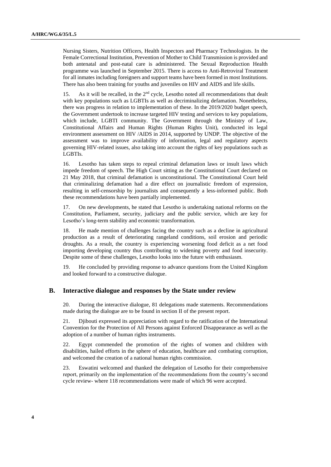Nursing Sisters, Nutrition Officers, Health Inspectors and Pharmacy Technologists. In the Female Correctional Institution, Prevention of Mother to Child Transmission is provided and both antenatal and post-natal care is administered. The Sexual Reproduction Health programme was launched in September 2015. There is access to Anti-Retroviral Treatment for all inmates including foreigners and support teams have been formed in most Institutions. There has also been training for youths and juveniles on HIV and AIDS and life skills.

15. As it will be recalled, in the 2nd cycle, Lesotho noted all recommendations that dealt with key populations such as LGBTIs as well as decriminalizing defamation. Nonetheless, there was progress in relation to implementation of these. In the 2019/2020 budget speech, the Government undertook to increase targeted HIV testing and services to key populations, which include, LGBTI community. The Government through the Ministry of Law, Constitutional Affairs and Human Rights (Human Rights Unit), conducted its legal environment assessment on HIV /AIDS in 2014, supported by UNDP. The objective of the assessment was to improve availability of information, legal and regulatory aspects governing HIV-related issues, also taking into account the rights of key populations such as LGBTIs.

16. Lesotho has taken steps to repeal criminal defamation laws or insult laws which impede freedom of speech. The High Court sitting as the Constitutional Court declared on 21 May 2018, that criminal defamation is unconstitutional. The Constitutional Court held that criminalizing defamation had a dire effect on journalistic freedom of expression, resulting in self-censorship by journalists and consequently a less-informed public. Both these recommendations have been partially implemented.

17. On new developments, he stated that Lesotho is undertaking national reforms on the Constitution, Parliament, security, judiciary and the public service, which are key for Lesotho's long-term stability and economic transformation.

18. He made mention of challenges facing the country such as a decline in agricultural production as a result of deteriorating rangeland conditions, soil erosion and periodic droughts. As a result, the country is experiencing worsening food deficit as a net food importing developing country thus contributing to widening poverty and food insecurity. Despite some of these challenges, Lesotho looks into the future with enthusiasm.

19. He concluded by providing response to advance questions from the United Kingdom and looked forward to a constructive dialogue.

#### **B. Interactive dialogue and responses by the State under review**

20. During the interactive dialogue, 81 delegations made statements. Recommendations made during the dialogue are to be found in section II of the present report.

21. Djibouti expressed its appreciation with regard to the ratification of the International Convention for the Protection of All Persons against Enforced Disappearance as well as the adoption of a number of human rights instruments.

22. Egypt commended the promotion of the rights of women and children with disabilities, hailed efforts in the sphere of education, healthcare and combating corruption, and welcomed the creation of a national human rights commission.

23. Eswatini welcomed and thanked the delegation of Lesotho for their comprehensive report, primarily on the implementation of the recommendations from the country's second cycle review- where 118 recommendations were made of which 96 were accepted.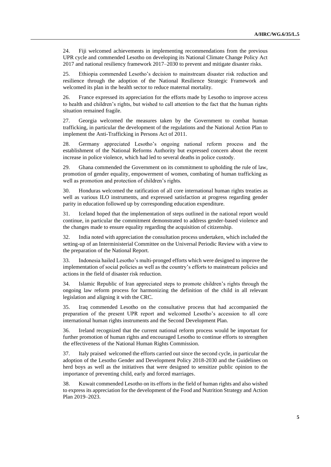24. Fiji welcomed achievements in implementing recommendations from the previous UPR cycle and commended Lesotho on developing its National Climate Change Policy Act 2017 and national resiliency framework 2017–2030 to prevent and mitigate disaster risks.

25. Ethiopia commended Lesotho's decision to mainstream disaster risk reduction and resilience through the adoption of the National Resilience Strategic Framework and welcomed its plan in the health sector to reduce maternal mortality.

26. France expressed its appreciation for the efforts made by Lesotho to improve access to health and children's rights, but wished to call attention to the fact that the human rights situation remained fragile.

27. Georgia welcomed the measures taken by the Government to combat human trafficking, in particular the development of the regulations and the National Action Plan to implement the Anti-Trafficking in Persons Act of 2011.

28. Germany appreciated Lesotho's ongoing national reform process and the establishment of the National Reforms Authority but expressed concern about the recent increase in police violence, which had led to several deaths in police custody.

29. Ghana commended the Government on its commitment to upholding the rule of law, promotion of gender equality, empowerment of women, combating of human trafficking as well as promotion and protection of children's rights.

30. Honduras welcomed the ratification of all core international human rights treaties as well as various ILO instruments, and expressed satisfaction at progress regarding gender parity in education followed up by corresponding education expenditure.

31. Iceland hoped that the implementation of steps outlined in the national report would continue, in particular the commitment demonstrated to address gender-based violence and the changes made to ensure equality regarding the acquisition of citizenship.

32. India noted with appreciation the consultation process undertaken, which included the setting-up of an Interministerial Committee on the Universal Periodic Review with a view to the preparation of the National Report.

33. Indonesia hailed Lesotho's multi-pronged efforts which were designed to improve the implementation of social policies as well as the country's efforts to mainstream policies and actions in the field of disaster risk reduction.

34. Islamic Republic of Iran appreciated steps to promote children's rights through the ongoing law reform process for harmonizing the definition of the child in all relevant legislation and aligning it with the CRC.

35. Iraq commended Lesotho on the consultative process that had accompanied the preparation of the present UPR report and welcomed Lesotho's accession to all core international human rights instruments and the Second Development Plan.

36. Ireland recognized that the current national reform process would be important for further promotion of human rights and encouraged Lesotho to continue efforts to strengthen the effectiveness of the National Human Rights Commission.

37. Italy praised welcomed the efforts carried out since the second cycle, in particular the adoption of the Lesotho Gender and Development Policy 2018-2030 and the Guidelines on herd boys as well as the initiatives that were designed to sensitize public opinion to the importance of preventing child, early and forced marriages.

38. Kuwait commended Lesotho on its efforts in the field of human rights and also wished to express its appreciation for the development of the Food and Nutrition Strategy and Action Plan 2019–2023.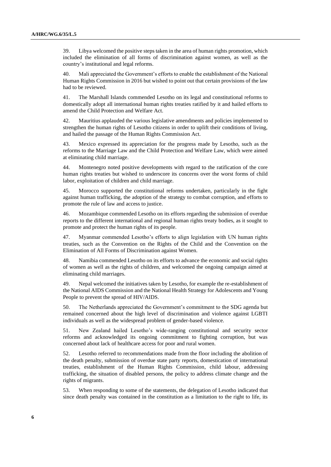39. Libya welcomed the positive steps taken in the area of human rights promotion, which included the elimination of all forms of discrimination against women, as well as the country's institutional and legal reforms.

40. Mali appreciated the Government's efforts to enable the establishment of the National Human Rights Commission in 2016 but wished to point out that certain provisions of the law had to be reviewed.

41. The Marshall Islands commended Lesotho on its legal and constitutional reforms to domestically adopt all international human rights treaties ratified by it and hailed efforts to amend the Child Protection and Welfare Act.

42. Mauritius applauded the various legislative amendments and policies implemented to strengthen the human rights of Lesotho citizens in order to uplift their conditions of living, and hailed the passage of the Human Rights Commission Act.

43. Mexico expressed its appreciation for the progress made by Lesotho, such as the reforms to the Marriage Law and the Child Protection and Welfare Law, which were aimed at eliminating child marriage.

44. Montenegro noted positive developments with regard to the ratification of the core human rights treaties but wished to underscore its concerns over the worst forms of child labor, exploitation of children and child marriage.

45. Morocco supported the constitutional reforms undertaken, particularly in the fight against human trafficking, the adoption of the strategy to combat corruption, and efforts to promote the rule of law and access to justice.

46. Mozambique commended Lesotho on its efforts regarding the submission of overdue reports to the different international and regional human rights treaty bodies, as it sought to promote and protect the human rights of its people.

47. Myanmar commended Lesotho's efforts to align legislation with UN human rights treaties, such as the Convention on the Rights of the Child and the Convention on the Elimination of All Forms of Discrimination against Women.

48. Namibia commended Lesotho on its efforts to advance the economic and social rights of women as well as the rights of children, and welcomed the ongoing campaign aimed at eliminating child marriages.

49. Nepal welcomed the initiatives taken by Lesotho, for example the re-establishment of the National AIDS Commission and the National Health Strategy for Adolescents and Young People to prevent the spread of HIV/AIDS.

50. The Netherlands appreciated the Government's commitment to the SDG agenda but remained concerned about the high level of discrimination and violence against LGBTI individuals as well as the widespread problem of gender-based violence.

51. New Zealand hailed Lesotho's wide-ranging constitutional and security sector reforms and acknowledged its ongoing commitment to fighting corruption, but was concerned about lack of healthcare access for poor and rural women.

52. Lesotho referred to recommendations made from the floor including the abolition of the death penalty, submission of overdue state party reports, domestication of international treaties, establishment of the Human Rights Commission, child labour, addressing trafficking, the situation of disabled persons, the policy to address climate change and the rights of migrants.

53. When responding to some of the statements, the delegation of Lesotho indicated that since death penalty was contained in the constitution as a limitation to the right to life, its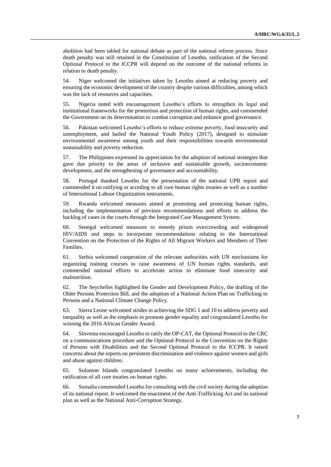abolition had been tabled for national debate as part of the national reform process. Since death penalty was still retained in the Constitution of Lesotho, ratification of the Second Optional Protocol to the ICCPR will depend on the outcome of the national reforms in relation to death penalty.

54. Niger welcomed the initiatives taken by Lesotho aimed at reducing poverty and ensuring the economic development of the country despite various difficulties, among which was the lack of resources and capacities.

55. Nigeria noted with encouragement Lesotho's efforts to strengthen its legal and institutional frameworks for the promotion and protection of human rights, and commended the Government on its determination to combat corruption and enhance good governance.

56. Pakistan welcomed Lesotho's efforts to reduce extreme poverty, food insecurity and unemployment, and hailed the National Youth Policy (2017), designed to stimulate environmental awareness among youth and their responsibilities towards environmental sustainability and poverty reduction.

57. The Philippines expressed its appreciation for the adoption of national strategies that gave due priority to the areas of inclusive and sustainable growth, socioeconomic development, and the strengthening of governance and accountability.

58. Portugal thanked Lesotho for the presentation of the national UPR report and commended it on ratifying or acceding to all core human rights treaties as well as a number of International Labour Organization instruments.

59. Rwanda welcomed measures aimed at promoting and protecting human rights, including the implementation of previous recommendations and efforts to address the backlog of cases in the courts through the Integrated Case Management System.

60. Senegal welcomed measures to remedy prison overcrowding and widespread HIV/AIDS and steps to incorporate recommendations relating to the International Convention on the Protection of the Rights of All Migrant Workers and Members of Their Families.

61. Serbia welcomed cooperation of the relevant authorities with UN mechanisms for organizing training courses to raise awareness of UN human rights standards, and commended national efforts to accelerate action to eliminate food insecurity and malnutrition.

62. The Seychelles highlighted the Gender and Development Policy, the drafting of the Older Persons Protection Bill, and the adoption of a National Action Plan on Trafficking in Persons and a National Climate Change Policy.

63. Sierra Leone welcomed strides in achieving the SDG 1 and 10 to address poverty and inequality as well as the emphasis to promote gender equality and congratulated Lesotho for winning the 2016 African Gender Award.

64. Slovenia encouraged Lesotho to ratify the OP-CAT, the Optional Protocol to the CRC on a communications procedure and the Optional Protocol to the Convention on the Rights of Persons with Disabilities and the Second Optional Protocol to the ICCPR. It raised concerns about the reports on persistent discrimination and violence against women and girls and abuse against children.

65. Solomon Islands congratulated Lesotho on many achievements, including the ratification of all core treaties on human rights.

66. Somalia commended Lesotho for consulting with the civil society during the adoption of its national report. It welcomed the enactment of the Anti-Trafficking Act and its national plan as well as the National Anti-Corruption Strategy.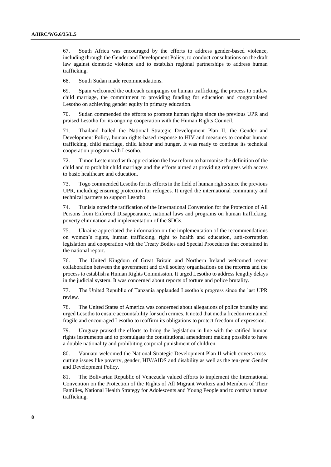67. South Africa was encouraged by the efforts to address gender-based violence, including through the Gender and Development Policy, to conduct consultations on the draft law against domestic violence and to establish regional partnerships to address human trafficking.

68. South Sudan made recommendations.

69. Spain welcomed the outreach campaigns on human trafficking, the process to outlaw child marriage, the commitment to providing funding for education and congratulated Lesotho on achieving gender equity in primary education.

70. Sudan commended the efforts to promote human rights since the previous UPR and praised Lesotho for its ongoing cooperation with the Human Rights Council.

71. Thailand hailed the National Strategic Development Plan II, the Gender and Development Policy, human rights-based response to HIV and measures to combat human trafficking, child marriage, child labour and hunger. It was ready to continue its technical cooperation program with Lesotho.

72. Timor-Leste noted with appreciation the law reform to harmonise the definition of the child and to prohibit child marriage and the efforts aimed at providing refugees with access to basic healthcare and education.

73. Togo commended Lesotho for its efforts in the field of human rights since the previous UPR, including ensuring protection for refugees. It urged the international community and technical partners to support Lesotho.

74. Tunisia noted the ratification of the International Convention for the Protection of All Persons from Enforced Disappearance, national laws and programs on human trafficking, poverty elimination and implementation of the SDGs.

75. Ukraine appreciated the information on the implementation of the recommendations on women's rights, human trafficking, right to health and education, anti-corruption legislation and cooperation with the Treaty Bodies and Special Procedures that contained in the national report.

76. The United Kingdom of Great Britain and Northern Ireland welcomed recent collaboration between the government and civil society organisations on the reforms and the process to establish a Human Rights Commission. It urged Lesotho to address lengthy delays in the judicial system. It was concerned about reports of torture and police brutality.

77. The United Republic of Tanzania applauded Lesotho's progress since the last UPR review.

78. The United States of America was concerned about allegations of police brutality and urged Lesotho to ensure accountability for such crimes. It noted that media freedom remained fragile and encouraged Lesotho to reaffirm its obligations to protect freedom of expression.

79. Uruguay praised the efforts to bring the legislation in line with the ratified human rights instruments and to promulgate the constitutional amendment making possible to have a double nationality and prohibiting corporal punishment of children.

80. Vanuatu welcomed the National Strategic Development Plan II which covers crosscutting issues like poverty, gender, HIV/AIDS and disability as well as the ten-year Gender and Development Policy.

81. The Bolivarian Republic of Venezuela valued efforts to implement the International Convention on the Protection of the Rights of All Migrant Workers and Members of Their Families, National Health Strategy for Adolescents and Young People and to combat human trafficking.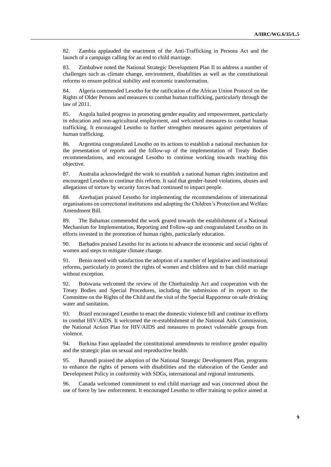82. Zambia applauded the enactment of the Anti-Trafficking in Persons Act and the launch of a campaign calling for an end to child marriage.

83. Zimbabwe noted the National Strategic Development Plan II to address a number of challenges such as climate change, environment, disabilities as well as the constitutional reforms to ensure political stability and economic transformation.

84. Algeria commended Lesotho for the ratification of the African Union Protocol on the Rights of Older Persons and measures to combat human trafficking, particularly through the law of 2011.

85. Angola hailed progress in promoting gender equality and empowerment, particularly in education and non-agricultural employment, and welcomed measures to combat human trafficking. It encouraged Lesotho to further strengthen measures against perpetrators of human trafficking.

86. Argentina congratulated Lesotho on its actions to establish a national mechanism for the presentation of reports and the follow-up of the implementation of Treaty Bodies recommendations, and encouraged Lesotho to continue working towards reaching this objective.

87. Australia acknowledged the work to establish a national human rights institution and encouraged Lesotho to continue this reform. It said that gender-based violations, abuses and allegations of torture by security forces had continued to impact people.

88. Azerbaijan praised Lesotho for implementing the recommendations of international organisations on correctional institutions and adopting the Children's Protection and Welfare Amendment Bill.

89. The Bahamas commended the work geared towards the establishment of a National Mechanism for Implementation, Reporting and Follow-up and congratulated Lesotho on its efforts invested in the promotion of human rights, particularly education.

90. Barbados praised Lesotho for its actions to advance the economic and social rights of women and steps to mitigate climate change.

91. Benin noted with satisfaction the adoption of a number of legislative and institutional reforms, particularly to protect the rights of women and children and to ban child marriage without exception.

92. Botswana welcomed the review of the Chieftainship Act and cooperation with the Treaty Bodies and Special Procedures, including the submission of its report to the Committee on the Rights of the Child and the visit of the Special Rapporteur on safe drinking water and sanitation.

93. Brazil encouraged Lesotho to enact the domestic violence bill and continue its efforts to combat HIV/AIDS. It welcomed the re-establishment of the National Aids Commission, the National Action Plan for HIV/AIDS and measures to protect vulnerable groups from violence.

94. Burkina Faso applauded the constitutional amendments to reinforce gender equality and the strategic plan on sexual and reproductive health.

95. Burundi praised the adoption of the National Strategic Development Plan, programs to enhance the rights of persons with disabilities and the elaboration of the Gender and Development Policy in conformity with SDGs, international and regional instruments.

96. Canada welcomed commitment to end child marriage and was concerned about the use of force by law enforcement. It encouraged Lesotho to offer training to police aimed at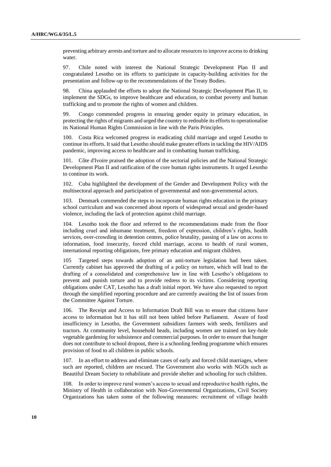preventing arbitrary arrests and torture and to allocate resources to improve access to drinking water.

97. Chile noted with interest the National Strategic Development Plan II and congratulated Lesotho on its efforts to participate in capacity-building activities for the presentation and follow-up to the recommendations of the Treaty Bodies.

98. China applauded the efforts to adopt the National Strategic Development Plan II, to implement the SDGs, to improve healthcare and education, to combat poverty and human trafficking and to promote the rights of women and children.

99. Congo commended progress in ensuring gender equity in primary education, in protecting the rights of migrants and urged the country to redouble its efforts to operationalise its National Human Rights Commission in line with the Paris Principles.

100. Costa Rica welcomed progress in eradicating child marriage and urged Lesotho to continue its efforts. It said that Lesotho should make greater efforts in tackling the HIV/AIDS pandemic, improving access to healthcare and in combatting human trafficking.

101. Côte d'Ivoire praised the adoption of the sectorial policies and the National Strategic Development Plan II and ratification of the core human rights instruments. It urged Lesotho to continue its work.

102. Cuba highlighted the development of the Gender and Development Policy with the multisectoral approach and participation of governmental and non-governmental actors.

103. Denmark commended the steps to incorporate human rights education in the primary school curriculum and was concerned about reports of widespread sexual and gender-based violence, including the lack of protection against child marriage.

Lesotho took the floor and referred to the recommendations made from the floor including cruel and inhumane treatment, freedom of expression, children's rights, health services, over-crowding in detention centres, police brutality, passing of a law on access to information, food insecurity, forced child marriage, access to health of rural women, international reporting obligations, free primary education and migrant children.

105 Targeted steps towards adoption of an anti-torture legislation had been taken. Currently cabinet has approved the drafting of a policy on torture, which will lead to the drafting of a consolidated and comprehensive law in line with Lesotho's obligations to prevent and punish torture and to provide redress to its victims. Considering reporting obligations under CAT, Lesotho has a draft initial report. We have also requested to report through the simplified reporting procedure and are currently awaiting the list of issues from the Committee Against Torture.

106. The Receipt and Access to Information Draft Bill was to ensure that citizens have access to information but it has still not been tabled before Parliament. Aware of food insufficiency in Lesotho, the Government subsidizes farmers with seeds, fertilizers and tractors. At community level, household heads, including women are trained on key-hole vegetable gardening for subsistence and commercial purposes. In order to ensure that hunger does not contribute to school dropout, there is a schooling feeding programme which ensures provision of food to all children in public schools.

107. In an effort to address and eliminate cases of early and forced child marriages, where such are reported, children are rescued. The Government also works with NGOs such as Beautiful Dream Society to rehabilitate and provide shelter and schooling for such children.

108. In order to improve rural women's access to sexual and reproductive health rights, the Ministry of Health in collaboration with Non-Governmental Organizations, Civil Society Organizations has taken some of the following measures: recruitment of village health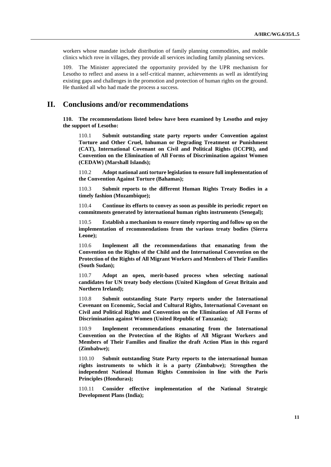workers whose mandate include distribution of family planning commodities, and mobile clinics which rove in villages, they provide all services including family planning services.

109. The Minister appreciated the opportunity provided by the UPR mechanism for Lesotho to reflect and assess in a self-critical manner, achievements as well as identifying existing gaps and challenges in the promotion and protection of human rights on the ground. He thanked all who had made the process a success.

## **II. Conclusions and/or recommendations**

**110. The recommendations listed below have been examined by Lesotho and enjoy the support of Lesotho:**

110.1 **Submit outstanding state party reports under Convention against Torture and Other Cruel, Inhuman or Degrading Treatment or Punishment (CAT), International Covenant on Civil and Political Rights (ICCPR), and Convention on the Elimination of All Forms of Discrimination against Women (CEDAW) (Marshall Islands);**

110.2 **Adopt national anti torture legislation to ensure full implementation of the Convention Against Torture (Bahamas);**

110.3 **Submit reports to the different Human Rights Treaty Bodies in a timely fashion (Mozambique);**

110.4 **Continue its efforts to convey as soon as possible its periodic report on commitments generated by international human rights instruments (Senegal);**

110.5 **Establish a mechanism to ensure timely reporting and follow up on the implementation of recommendations from the various treaty bodies (Sierra Leone);**

110.6 **Implement all the recommendations that emanating from the Convention on the Rights of the Child and the International Convention on the Protection of the Rights of All Migrant Workers and Members of Their Families (South Sudan);**

110.7 **Adopt an open, merit-based process when selecting national candidates for UN treaty body elections (United Kingdom of Great Britain and Northern Ireland);**

110.8 **Submit outstanding State Party reports under the International Covenant on Economic, Social and Cultural Rights, International Covenant on Civil and Political Rights and Convention on the Elimination of All Forms of Discrimination against Women (United Republic of Tanzania);**

110.9 **Implement recommendations emanating from the International Convention on the Protection of the Rights of All Migrant Workers and Members of Their Families and finalize the draft Action Plan in this regard (Zimbabwe);**

110.10 **Submit outstanding State Party reports to the international human rights instruments to which it is a party (Zimbabwe); Strengthen the independent National Human Rights Commission in line with the Paris Principles (Honduras);**

110.11 **Consider effective implementation of the National Strategic Development Plans (India);**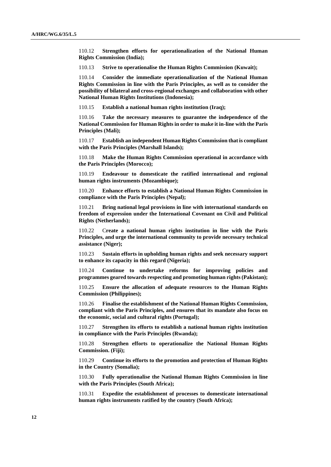110.12 **Strengthen efforts for operationalization of the National Human Rights Commission (India);**

110.13 **Strive to operationalise the Human Rights Commission (Kuwait);**

110.14 **Consider the immediate operationalization of the National Human Rights Commission in line with the Paris Principles, as well as to consider the possibility of bilateral and cross-regional exchanges and collaboration with other National Human Rights Institutions (Indonesia);**

110.15 **Establish a national human rights institution (Iraq);**

110.16 **Take the necessary measures to guarantee the independence of the National Commission for Human Rights in order to make it in-line with the Paris Principles (Mali);**

110.17 **Establish an independent Human Rights Commission that is compliant with the Paris Principles (Marshall Islands);**

110.18 **Make the Human Rights Commission operational in accordance with the Paris Principles (Morocco);**

110.19 **Endeavour to domesticate the ratified international and regional human rights instruments (Mozambique);**

110.20 **Enhance efforts to establish a National Human Rights Commission in compliance with the Paris Principles (Nepal);**

110.21 **Bring national legal provisions in line with international standards on freedom of expression under the International Covenant on Civil and Political Rights (Netherlands);**

110.22 C**reate a national human rights institution in line with the Paris Principles, and urge the international community to provide necessary technical assistance (Niger);**

110.23 **Sustain efforts in upholding human rights and seek necessary support to enhance its capacity in this regard (Nigeria);**

110.24 **Continue to undertake reforms for improving policies and programmes geared towards respecting and promoting human rights (Pakistan);**

110.25 **Ensure the allocation of adequate resources to the Human Rights Commission (Philippines);**

110.26 **Finalise the establishment of the National Human Rights Commission, compliant with the Paris Principles, and ensures that its mandate also focus on the economic, social and cultural rights (Portugal);**

110.27 **Strengthen its efforts to establish a national human rights institution in compliance with the Paris Principles (Rwanda);**

110.28 **Strengthen efforts to operationalize the National Human Rights Commission. (Fiji);**

110.29 **Continue its efforts to the promotion and protection of Human Rights in the Country (Somalia);**

110.30 **Fully operationalise the National Human Rights Commission in line with the Paris Principles (South Africa);**

110.31 **Expedite the establishment of processes to domesticate international human rights instruments ratified by the country (South Africa);**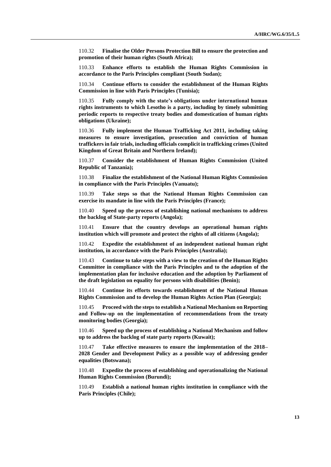110.32 **Finalise the Older Persons Protection Bill to ensure the protection and promotion of their human rights (South Africa);**

110.33 **Enhance efforts to establish the Human Rights Commission in accordance to the Paris Principles compliant (South Sudan);**

110.34 **Continue efforts to consider the establishment of the Human Rights Commission in line with Paris Principles (Tunisia);**

110.35 **Fully comply with the state's obligations under international human rights instruments to which Lesotho is a party, including by timely submitting periodic reports to respective treaty bodies and domestication of human rights obligations (Ukraine);**

110.36 **Fully implement the Human Trafficking Act 2011, including taking measures to ensure investigation, prosecution and conviction of human traffickers in fair trials, including officials complicit in trafficking crimes (United Kingdom of Great Britain and Northern Ireland);**

110.37 **Consider the establishment of Human Rights Commission (United Republic of Tanzania);**

110.38 **Finalize the establishment of the National Human Rights Commission in compliance with the Paris Principles (Vanuatu);**

110.39 **Take steps so that the National Human Rights Commission can exercise its mandate in line with the Paris Principles (France);**

110.40 **Speed up the process of establishing national mechanisms to address the backlog of State-party reports (Angola);**

110.41 **Ensure that the country develops an operational human rights institution which will promote and protect the rights of all citizens (Angola);**

110.42 **Expedite the establishment of an independent national human right institution, in accordance with the Paris Principles (Australia);**

110.43 **Continue to take steps with a view to the creation of the Human Rights Committee in compliance with the Paris Principles and to the adoption of the implementation plan for inclusive education and the adoption by Parliament of the draft legislation on equality for persons with disabilities (Benin);**

110.44 **Continue its efforts towards establishment of the National Human Rights Commission and to develop the Human Rights Action Plan (Georgia);**

110.45 **Proceed with the steps to establish a National Mechanism on Reporting and Follow-up on the implementation of recommendations from the treaty monitoring bodies (Georgia);**

110.46 **Speed up the process of establishing a National Mechanism and follow up to address the backlog of state party reports (Kuwait);**

110.47 **Take effective measures to ensure the implementation of the 2018– 2028 Gender and Development Policy as a possible way of addressing gender equalities (Botswana);**

110.48 **Expedite the process of establishing and operationalizing the National Human Rights Commission (Burundi);**

110.49 **Establish a national human rights institution in compliance with the Paris Principles (Chile);**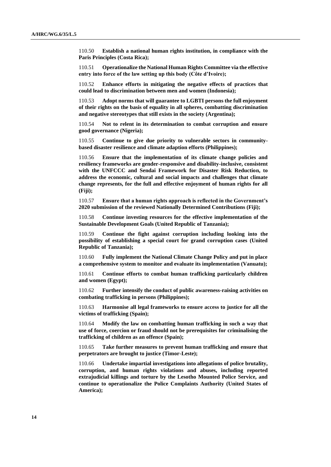110.50 **Establish a national human rights institution, in compliance with the Paris Principles (Costa Rica);**

110.51 **Operationalize the National Human Rights Committee via the effective entry into force of the law setting up this body (Côte d'Ivoire);**

110.52 **Enhance efforts in mitigating the negative effects of practices that could lead to discrimination between men and women (Indonesia);**

110.53 **Adopt norms that will guarantee to LGBTI persons the full enjoyment of their rights on the basis of equality in all spheres, combatting discrimination and negative stereotypes that still exists in the society (Argentina);**

110.54 **Not to relent in its determination to combat corruption and ensure good governance (Nigeria);**

110.55 **Continue to give due priority to vulnerable sectors in communitybased disaster resilience and climate adaption efforts (Philippines);**

110.56 **Ensure that the implementation of its climate change policies and resiliency frameworks are gender-responsive and disability-inclusive, consistent with the UNFCCC and Sendai Framework for Disaster Risk Reduction, to address the economic, cultural and social impacts and challenges that climate change represents, for the full and effective enjoyment of human rights for all (Fiji);**

110.57 **Ensure that a human rights approach is reflected in the Government's 2020 submission of the reviewed Nationally Determined Contributions (Fiji);**

110.58 **Continue investing resources for the effective implementation of the Sustainable Development Goals (United Republic of Tanzania);**

110.59 **Continue the fight against corruption including looking into the possibility of establishing a special court for grand corruption cases (United Republic of Tanzania);**

110.60 **Fully implement the National Climate Change Policy and put in place a comprehensive system to monitor and evaluate its implementation (Vanuatu);**

110.61 **Continue efforts to combat human trafficking particularly children and women (Egypt);**

110.62 **Further intensify the conduct of public awareness-raising activities on combating trafficking in persons (Philippines);**

110.63 **Harmonise all legal frameworks to ensure access to justice for all the victims of trafficking (Spain);**

110.64 **Modify the law on combatting human trafficking in such a way that use of force, coercion or fraud should not be prerequisites for criminalising the trafficking of children as an offence (Spain);**

110.65 **Take further measures to prevent human trafficking and ensure that perpetrators are brought to justice (Timor-Leste);**

110.66 **Undertake impartial investigations into allegations of police brutality, corruption, and human rights violations and abuses, including reported extrajudicial killings and torture by the Lesotho Mounted Police Service, and continue to operationalize the Police Complaints Authority (United States of America);**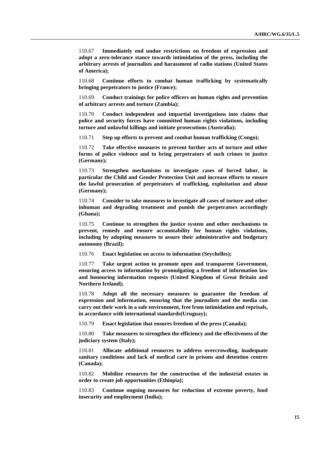110.67 **Immediately end undue restrictions on freedom of expression and adopt a zero-tolerance stance towards intimidation of the press, including the arbitrary arrests of journalists and harassment of radio stations (United States of America);**

110.68 **Continue efforts to combat human trafficking by systematically bringing perpetrators to justice (France);**

110.69 **Conduct trainings for police officers on human rights and prevention of arbitrary arrests and torture (Zambia);**

110.70 **Conduct independent and impartial investigations into claims that police and security forces have committed human rights violations, including torture and unlawful killings and initiate prosecutions (Australia);**

110.71 **Step up efforts to prevent and combat human trafficking (Congo);**

110.72 **Take effective measures to prevent further acts of torture and other forms of police violence and to bring perpetrators of such crimes to justice (Germany);**

110.73 **Strengthen mechanisms to investigate cases of forced labor, in particular the Child and Gender Protection Unit and increase efforts to ensure the lawful prosecution of perpetrators of trafficking, exploitation and abuse (Germany);**

110.74 **Consider to take measures to investigate all cases of torture and other inhuman and degrading treatment and punish the perpetrators accordingly (Ghana);**

110.75 **Continue to strengthen the justice system and other mechanisms to prevent, remedy and ensure accountability for human rights violations, including by adopting measures to assure their administrative and budgetary autonomy (Brazil);**

110.76 **Enact legislation on access to information (Seychelles);**

110.77 **Take urgent action to promote open and transparent Government, ensuring access to information by promulgating a freedom of information law and honouring information requests (United Kingdom of Great Britain and Northern Ireland);**

110.78 **Adopt all the necessary measures to guarantee the freedom of expression and information, ensuring that the journalists and the media can carry out their work in a safe environment, free from intimidation and reprisals, in accordance with international standards(Uruguay);**

110.79 **Enact legislation that ensures freedom of the press (Canada);**

110.80 **Take measures to strengthen the efficiency and the effectiveness of the judiciary system (Italy);**

110.81 **Allocate additional resources to address overcrowding, inadequate sanitary conditions and lack of medical care in prisons and detention centres (Canada);**

110.82 **Mobilize resources for the construction of the industrial estates in order to create job opportunities (Ethiopia);**

110.83 **Continue ongoing measures for reduction of extreme poverty, food insecurity and employment (India);**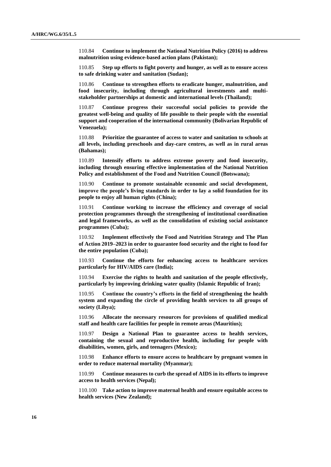110.84 **Continue to implement the National Nutrition Policy (2016) to address malnutrition using evidence-based action plans (Pakistan);**

110.85 **Step up efforts to fight poverty and hunger, as well as to ensure access to safe drinking water and sanitation (Sudan);**

110.86 **Continue to strengthen efforts to eradicate hunger, malnutrition, and food insecurity, including through agricultural investments and multistakeholder partnerships at domestic and international levels (Thailand);**

110.87 **Continue progress their successful social policies to provide the greatest well-being and quality of life possible to their people with the essential support and cooperation of the international community (Bolivarian Republic of Venezuela);**

110.88 **Prioritize the guarantee of access to water and sanitation to schools at all levels, including preschools and day-care centres, as well as in rural areas (Bahamas);**

110.89 **Intensify efforts to address extreme poverty and food insecurity, including through ensuring effective implementation of the National Nutrition Policy and establishment of the Food and Nutrition Council (Botswana);**

110.90 **Continue to promote sustainable economic and social development, improve the people's living standards in order to lay a solid foundation for its people to enjoy all human rights (China);**

110.91 **Continue working to increase the efficiency and coverage of social protection programmes through the strengthening of institutional coordination and legal frameworks, as well as the consolidation of existing social assistance programmes (Cuba);**

110.92 **Implement effectively the Food and Nutrition Strategy and The Plan of Action 2019–2023 in order to guarantee food security and the right to food for the entire population (Cuba);**

110.93 **Continue the efforts for enhancing access to healthcare services particularly for HIV/AIDS care (India);**

110.94 **Exercise the rights to health and sanitation of the people effectively, particularly by improving drinking water quality (Islamic Republic of Iran);**

110.95 **Continue the country's efforts in the field of strengthening the health system and expanding the circle of providing health services to all groups of society (Libya);**

110.96 **Allocate the necessary resources for provisions of qualified medical staff and health care facilities for people in remote areas (Mauritius);**

110.97 **Design a National Plan to guarantee access to health services, containing the sexual and reproductive health, including for people with disabilities, women, girls, and teenagers (Mexico);**

110.98 **Enhance efforts to ensure access to healthcare by pregnant women in order to reduce maternal mortality (Myanmar);**

110.99 **Continue measures to curb the spread of AIDS in its efforts to improve access to health services (Nepal);**

110.100 **Take action to improve maternal health and ensure equitable access to health services (New Zealand);**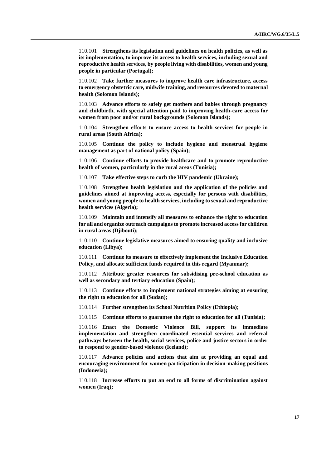110.101 **Strengthens its legislation and guidelines on health policies, as well as its implementation, to improve its access to health services, including sexual and reproductive health services, by people living with disabilities, women and young people in particular (Portugal);**

110.102 **Take further measures to improve health care infrastructure, access to emergency obstetric care, midwife training, and resources devoted to maternal health (Solomon Islands);**

110.103 **Advance efforts to safely get mothers and babies through pregnancy and childbirth, with special attention paid to improving health-care access for women from poor and/or rural backgrounds (Solomon Islands);**

110.104 **Strengthen efforts to ensure access to health services for people in rural areas (South Africa);**

110.105 **Continue the policy to include hygiene and menstrual hygiene management as part of national policy (Spain);**

110.106 **Continue efforts to provide healthcare and to promote reproductive health of women, particularly in the rural areas (Tunisia);**

110.107 **Take effective steps to curb the HIV pandemic (Ukraine);**

110.108 **Strengthen health legislation and the application of the policies and guidelines aimed at improving access, especially for persons with disabilities, women and young people to health services, including to sexual and reproductive health services (Algeria);**

110.109 **Maintain and intensify all measures to enhance the right to education for all and organize outreach campaigns to promote increased access for children in rural areas (Djibouti);**

110.110 **Continue legislative measures aimed to ensuring quality and inclusive education (Libya);**

110.111 **Continue its measure to effectively implement the Inclusive Education Policy, and allocate sufficient funds required in this regard (Myanmar);**

110.112 **Attribute greater resources for subsidising pre-school education as well as secondary and tertiary education (Spain);**

110.113 **Continue efforts to implement national strategies aiming at ensuring the right to education for all (Sudan);**

110.114 **Further strengthen its School Nutrition Policy (Ethiopia);**

110.115 **Continue efforts to guarantee the right to education for all (Tunisia);**

110.116 **Enact the Domestic Violence Bill, support its immediate implementation and strengthen coordinated essential services and referral pathways between the health, social services, police and justice sectors in order to respond to gender-based violence (Iceland);**

110.117 **Advance policies and actions that aim at providing an equal and encouraging environment for women participation in decision-making positions (Indonesia);**

110.118 **Increase efforts to put an end to all forms of discrimination against women (Iraq);**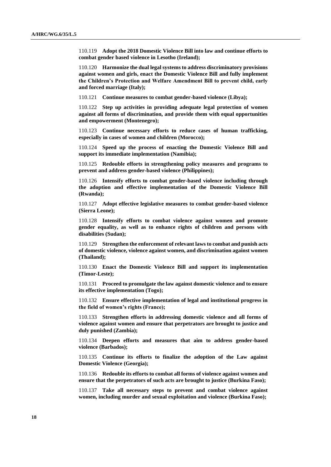110.119 **Adopt the 2018 Domestic Violence Bill into law and continue efforts to combat gender based violence in Lesotho (Ireland);**

110.120 **Harmonize the dual legal systems to address discriminatory provisions against women and girls, enact the Domestic Violence Bill and fully implement the Children's Protection and Welfare Amendment Bill to prevent child, early and forced marriage (Italy);**

110.121 **Continue measures to combat gender-based violence (Libya);**

110.122 **Step up activities in providing adequate legal protection of women against all forms of discrimination, and provide them with equal opportunities and empowerment (Montenegro);**

110.123 **Continue necessary efforts to reduce cases of human trafficking, especially in cases of women and children (Morocco);**

110.124 **Speed up the process of enacting the Domestic Violence Bill and support its immediate implementation (Namibia);**

110.125 **Redouble efforts in strengthening policy measures and programs to prevent and address gender-based violence (Philippines);**

110.126 **Intensify efforts to combat gender-based violence including through the adoption and effective implementation of the Domestic Violence Bill (Rwanda);**

110.127 **Adopt effective legislative measures to combat gender-based violence (Sierra Leone);**

110.128 **Intensify efforts to combat violence against women and promote gender equality, as well as to enhance rights of children and persons with disabilities (Sudan);**

110.129 **Strengthen the enforcement of relevant laws to combat and punish acts of domestic violence, violence against women, and discrimination against women (Thailand);**

110.130 **Enact the Domestic Violence Bill and support its implementation (Timor-Leste);**

110.131 **Proceed to promulgate the law against domestic violence and to ensure its effective implementation (Togo);**

110.132 **Ensure effective implementation of legal and institutional progress in the field of women's rights (France);**

110.133 **Strengthen efforts in addressing domestic violence and all forms of violence against women and ensure that perpetrators are brought to justice and duly punished (Zambia);**

110.134 **Deepen efforts and measures that aim to address gender-based violence (Barbados);**

110.135 **Continue its efforts to finalize the adoption of the Law against Domestic Violence (Georgia);**

110.136 **Redouble its efforts to combat all forms of violence against women and ensure that the perpetrators of such acts are brought to justice (Burkina Faso);**

110.137 **Take all necessary steps to prevent and combat violence against women, including murder and sexual exploitation and violence (Burkina Faso);**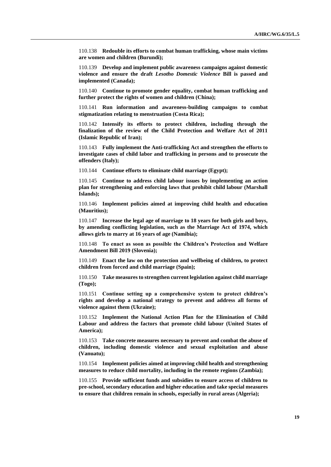110.138 **Redouble its efforts to combat human trafficking, whose main victims are women and children (Burundi);**

110.139 **Develop and implement public awareness campaigns against domestic violence and ensure the draft** *Lesotho Domestic Violence* **Bill is passed and implemented (Canada);**

110.140 **Continue to promote gender equality, combat human trafficking and further protect the rights of women and children (China);**

110.141 **Run information and awareness-building campaigns to combat stigmatization relating to menstruation (Costa Rica);**

110.142 **Intensify its efforts to protect children, including through the finalization of the review of the Child Protection and Welfare Act of 2011 (Islamic Republic of Iran);**

110.143 **Fully implement the Anti-trafficking Act and strengthen the efforts to investigate cases of child labor and trafficking in persons and to prosecute the offenders (Italy);**

110.144 **Continue efforts to eliminate child marriage (Egypt);**

110.145 **Continue to address child labour issues by implementing an action plan for strengthening and enforcing laws that prohibit child labour (Marshall Islands);**

110.146 **Implement policies aimed at improving child health and education (Mauritius);**

110.147 **Increase the legal age of marriage to 18 years for both girls and boys, by amending conflicting legislation, such as the Marriage Act of 1974, which allows girls to marry at 16 years of age (Namibia);**

110.148 **To enact as soon as possible the Children's Protection and Welfare Amendment Bill 2019 (Slovenia);**

110.149 **Enact the law on the protection and wellbeing of children, to protect children from forced and child marriage (Spain);**

110.150 **Take measures to strengthen current legislation against child marriage (Togo);**

110.151 **Continue setting up a comprehensive system to protect children's rights and develop a national strategy to prevent and address all forms of violence against them (Ukraine);**

110.152 **Implement the National Action Plan for the Elimination of Child Labour and address the factors that promote child labour (United States of America);**

110.153 **Take concrete measures necessary to prevent and combat the abuse of children, including domestic violence and sexual exploitation and abuse (Vanuatu);**

110.154 **Implement policies aimed at improving child health and strengthening measures to reduce child mortality, including in the remote regions (Zambia);**

110.155 **Provide sufficient funds and subsidies to ensure access of children to pre-school, secondary education and higher education and take special measures to ensure that children remain in schools, especially in rural areas (Algeria);**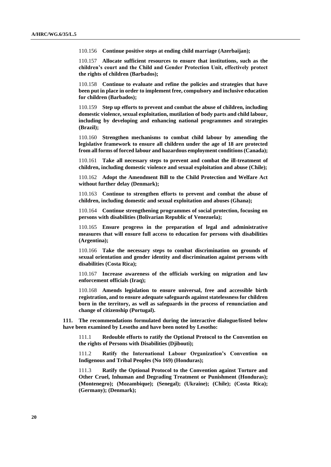110.156 **Continue positive steps at ending child marriage (Azerbaijan);**

110.157 **Allocate sufficient resources to ensure that institutions, such as the children's court and the Child and Gender Protection Unit, effectively protect the rights of children (Barbados);**

110.158 **Continue to evaluate and refine the policies and strategies that have been put in place in order to implement free, compulsory and inclusive education for children (Barbados);**

110.159 **Step up efforts to prevent and combat the abuse of children, including domestic violence, sexual exploitation, mutilation of body parts and child labour, including by developing and enhancing national programmes and strategies (Brazil);**

110.160 **Strengthen mechanisms to combat child labour by amending the legislative framework to ensure all children under the age of 18 are protected from all forms of forced labour and hazardous employment conditions (Canada);**

110.161 **Take all necessary steps to prevent and combat the ill-treatment of children, including domestic violence and sexual exploitation and abuse (Chile);**

110.162 **Adopt the Amendment Bill to the Child Protection and Welfare Act without further delay (Denmark);**

110.163 **Continue to strengthen efforts to prevent and combat the abuse of children, including domestic and sexual exploitation and abuses (Ghana);**

110.164 **Continue strengthening programmes of social protection, focusing on persons with disabilities (Bolivarian Republic of Venezuela);**

110.165 **Ensure progress in the preparation of legal and administrative measures that will ensure full access to education for persons with disabilities (Argentina);**

110.166 **Take the necessary steps to combat discrimination on grounds of sexual orientation and gender identity and discrimination against persons with disabilities (Costa Rica);**

110.167 **Increase awareness of the officials working on migration and law enforcement officials (Iraq);**

110.168 **Amends legislation to ensure universal, free and accessible birth registration, and to ensure adequate safeguards against statelessness for children born in the territory, as well as safeguards in the process of renunciation and change of citizenship (Portugal).**

**111. The recommendations formulated during the interactive dialogue/listed below have been examined by Lesotho and have been noted by Lesotho:**

111.1 **Redouble efforts to ratify the Optional Protocol to the Convention on the rights of Persons with Disabilities (Djibouti);**

111.2 **Ratify the International Labour Organization's Convention on Indigenous and Tribal Peoples (No 169) (Honduras);**

111.3 **Ratify the Optional Protocol to the Convention against Torture and Other Cruel, Inhuman and Degrading Treatment or Punishment (Honduras); (Montenegro); (Mozambique); (Senegal); (Ukraine); (Chile); (Costa Rica); (Germany); (Denmark);**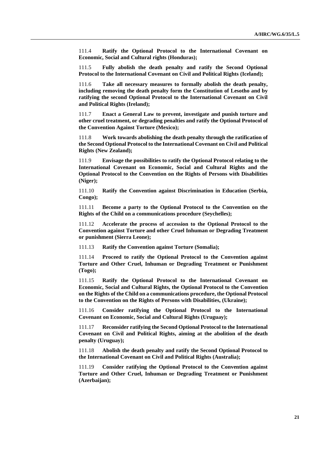111.4 **Ratify the Optional Protocol to the International Covenant on Economic, Social and Cultural rights (Honduras);**

111.5 **Fully abolish the death penalty and ratify the Second Optional Protocol to the International Covenant on Civil and Political Rights (Iceland);**

111.6 **Take all necessary measures to formally abolish the death penalty, including removing the death penalty form the Constitution of Lesotho and by ratifying the second Optional Protocol to the International Covenant on Civil and Political Rights (Ireland);**

111.7 **Enact a General Law to prevent, investigate and punish torture and other cruel treatment, or degrading penalties and ratify the Optional Protocol of the Convention Against Torture (Mexico);**

111.8 **Work towards abolishing the death penalty through the ratification of the Second Optional Protocol to the International Covenant on Civil and Political Rights (New Zealand);**

111.9 **Envisage the possibilities to ratify the Optional Protocol relating to the International Covenant on Economic, Social and Cultural Rights and the Optional Protocol to the Convention on the Rights of Persons with Disabilities (Niger);**

111.10 **Ratify the Convention against Discrimination in Education (Serbia, Congo);**

111.11 **Become a party to the Optional Protocol to the Convention on the Rights of the Child on a communications procedure (Seychelles);**

111.12 **Accelerate the process of accession to the Optional Protocol to the Convention against Torture and other Cruel Inhuman or Degrading Treatment or punishment (Sierra Leone);**

111.13 **Ratify the Convention against Torture (Somalia);**

111.14 **Proceed to ratify the Optional Protocol to the Convention against Torture and Other Cruel, Inhuman or Degrading Treatment or Punishment (Togo);**

111.15 **Ratify the Optional Protocol to the International Covenant on Economic, Social and Cultural Rights, the Optional Protocol to the Convention on the Rights of the Child on a communications procedure, the Optional Protocol to the Convention on the Rights of Persons with Disabilities, (Ukraine);**

111.16 **Consider ratifying the Optional Protocol to the International Covenant on Economic, Social and Cultural Rights (Uruguay);**

111.17 **Reconsider ratifying the Second Optional Protocol to the International Covenant on Civil and Political Rights, aiming at the abolition of the death penalty (Uruguay);**

111.18 **Abolish the death penalty and ratify the Second Optional Protocol to the International Covenant on Civil and Political Rights (Australia);**

111.19 **Consider ratifying the Optional Protocol to the Convention against Torture and Other Cruel, Inhuman or Degrading Treatment or Punishment (Azerbaijan);**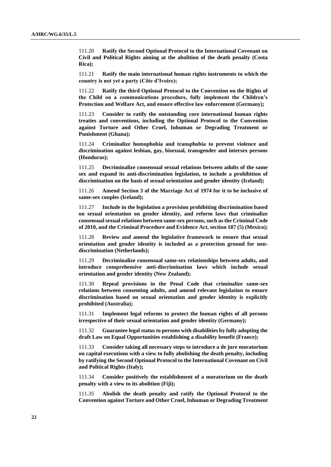111.20 **Ratify the Second Optional Protocol to the International Covenant on Civil and Political Rights aiming at the abolition of the death penalty (Costa Rica);**

111.21 **Ratify the main international human rights instruments to which the country is not yet a party (Côte d'Ivoire);**

111.22 **Ratify the third Optional Protocol to the Convention on the Rights of the Child on a communications procedure, fully implement the Children's Protection and Welfare Act, and ensure effective law enforcement (Germany);**

111.23 **Consider to ratify the outstanding core international human rights treaties and conventions, including the Optional Protocol to the Convention against Torture and Other Cruel, Inhuman or Degrading Treatment or Punishment (Ghana);**

111.24 **Criminalize homophobia and transphobia to prevent violence and discrimination against lesbian, gay, bisexual, transgender and intersex persons (Honduras);**

111.25 **Decriminalize consensual sexual relations between adults of the same sex and expand its anti-discrimination legislation, to include a prohibition of discrimination on the basis of sexual orientation and gender identity (Iceland);**

111.26 **Amend Section 3 of the Marriage Act of 1974 for it to be inclusive of same-sex couples (Iceland);**

111.27 **Include in the legislation a provision prohibiting discrimination based on sexual orientation on gender identity, and reform laws that criminalize consensual sexual relations between same-sex persons, such as the Criminal Code of 2010, and the Criminal Procedure and Evidence Act, section 187 (5) (Mexico);**

111.28 **Review and amend the legislative framework to ensure that sexual orientation and gender identity is included as a protection ground for nondiscrimination (Netherlands);**

111.29 **Decriminalize consensual same-sex relationships between adults, and introduce comprehensive anti-discrimination laws which include sexual orientation and gender identity (New Zealand);**

111.30 **Repeal provisions in the Penal Code that criminalize same-sex relations between consenting adults, and amend relevant legislation to ensure discrimination based on sexual orientation and gender identity is explicitly prohibited (Australia);**

111.31 **Implement legal reforms to protect the human rights of all persons irrespective of their sexual orientation and gender identity (Germany);**

111.32 **Guarantee legal status to persons with disabilities by fully adopting the draft Law on Equal Opportunities establishing a disability benefit (France);**

111.33 **Consider taking all necessary steps to introduce a de jure moratorium on capital executions with a view to fully abolishing the death penalty, including by ratifying the Second Optional Protocol to the International Covenant on Civil and Political Rights (Italy);**

111.34 **Consider positively the establishment of a moratorium on the death penalty with a view to its abolition (Fiji);**

111.35 **Abolish the death penalty and ratify the Optional Protocol to the Convention against Torture and Other Cruel, Inhuman or Degrading Treatment**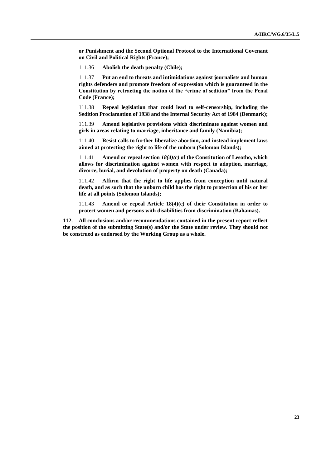**or Punishment and the Second Optional Protocol to the International Covenant on Civil and Political Rights (France);**

111.36 **Abolish the death penalty (Chile);**

111.37 **Put an end to threats and intimidations against journalists and human rights defenders and promote freedom of expression which is guaranteed in the Constitution by retracting the notion of the "crime of sedition" from the Penal Code (France);**

111.38 **Repeal legislation that could lead to self-censorship, including the Sedition Proclamation of 1938 and the Internal Security Act of 1984 (Denmark);**

111.39 **Amend legislative provisions which discriminate against women and girls in areas relating to marriage, inheritance and family (Namibia);**

111.40 **Resist calls to further liberalize abortion, and instead implement laws aimed at protecting the right to life of the unborn (Solomon Islands);**

111.41 **Amend or repeal section** *18(4)(c)* **of the Constitution of Lesotho, which allows for discrimination against women with respect to adoption, marriage, divorce, burial, and devolution of property on death (Canada);**

111.42 **Affirm that the right to life applies from conception until natural death, and as such that the unborn child has the right to protection of his or her life at all points (Solomon Islands);**

111.43 **Amend or repeal Article 18(4)(c) of their Constitution in order to protect women and persons with disabilities from discrimination (Bahamas).**

**112. All conclusions and/or recommendations contained in the present report reflect the position of the submitting State(s) and/or the State under review. They should not be construed as endorsed by the Working Group as a whole.**